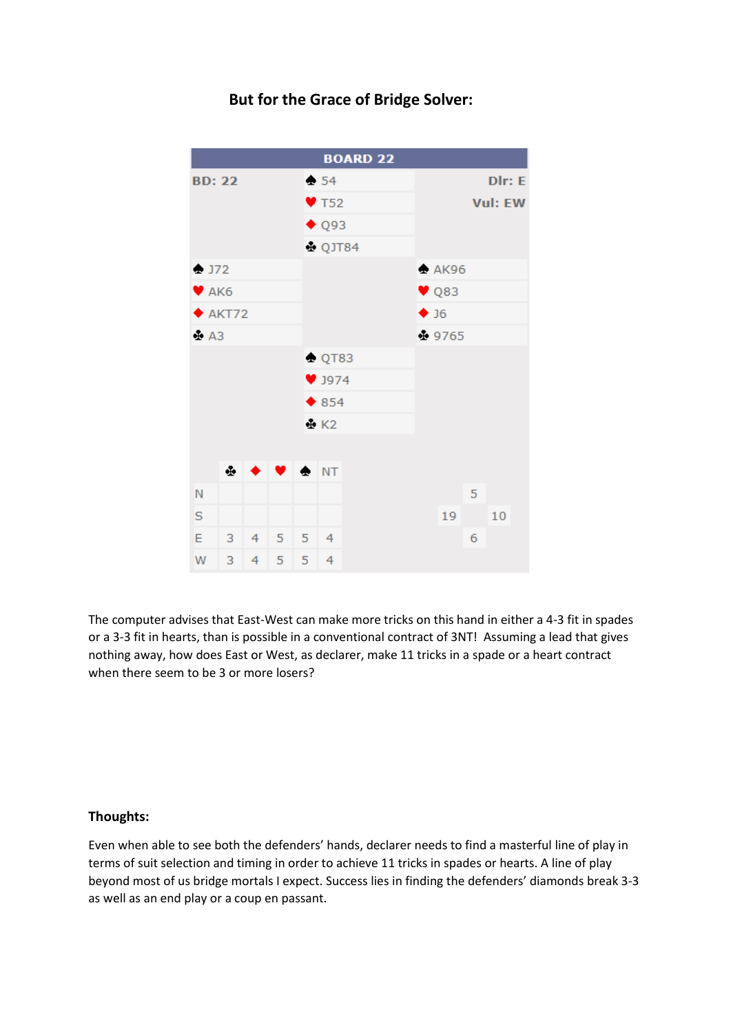## **But for the Grace of Bridge Solver:**



The computer advises that East-West can make more tricks on this hand in either a 4-3 fit in spades or a 3-3 fit in hearts, than is possible in a conventional contract of 3NT! Assuming a lead that gives nothing away, how does East or West, as declarer, make 11 tricks in a spade or a heart contract when there seem to be 3 or more losers?

## **Thoughts:**

Even when able to see both the defenders' hands, declarer needs to find a masterful line of play in terms of suit selection and timing in order to achieve 11 tricks in spades or hearts. A line of play beyond most of us bridge mortals I expect. Success lies in finding the defenders' diamonds break 3-3 as well as an end play or a coup en passant.